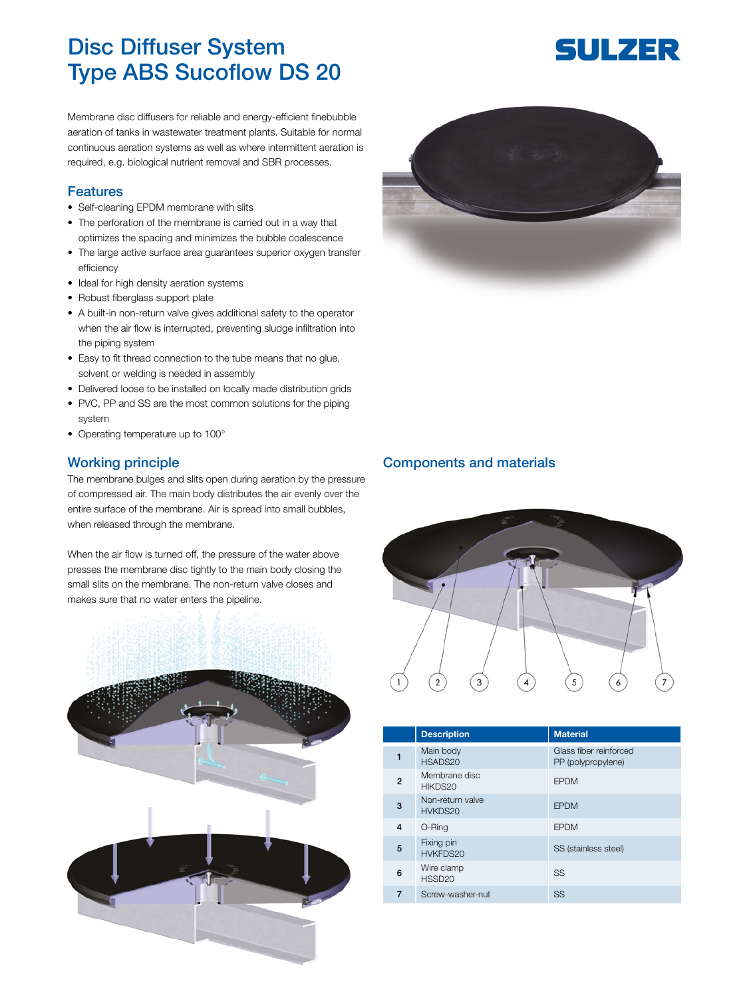## Disc Diffuser System Type ABS Sucoflow DS 20

Membrane disc diffusers for reliable and energy-efficient finebubble aeration of tanks in wastewater treatment plants. Suitable for normal continuous aeration systems as well as where intermittent aeration is required, e.g. biological nutrient removal and SBR processes.

## Features

- Self-cleaning EPDM membrane with slits
- The perforation of the membrane is carried out in a way that optimizes the spacing and minimizes the bubble coalescence
- The large active surface area guarantees superior oxygen transfer efficiency
- Ideal for high density aeration systems
- Robust fiberglass support plate
- A built-in non-return valve gives additional safety to the operator when the air flow is interrupted, preventing sludge infiltration into the piping system
- Easy to fit thread connection to the tube means that no glue, solvent or welding is needed in assembly
- Delivered loose to be installed on locally made distribution grids
- PVC, PP and SS are the most common solutions for the piping system
- Operating temperature up to 100°

## Working principle

The membrane bulges and slits open during aeration by the pressure of compressed air. The main body distributes the air evenly over the entire surface of the membrane. Air is spread into small bubbles, when released through the membrane.

When the air flow is turned off, the pressure of the water above presses the membrane disc tightly to the main body closing the small slits on the membrane. The non-return valve closes and makes sure that no water enters the pipeline.





## Components and materials



|   | <b>Description</b>               | <b>Material</b>                              |
|---|----------------------------------|----------------------------------------------|
|   | Main body<br>HSADS20             | Glass fiber reinforced<br>PP (polypropylene) |
| 2 | Membrane disc<br>HIKDS20         | <b>EPDM</b>                                  |
| 3 | Non-return valve<br>HVKDS20      | <b>EPDM</b>                                  |
| 4 | O-Ring                           | <b>EPDM</b>                                  |
| 5 | Fixing pin<br>HVKFDS20           | SS (stainless steel)                         |
| 6 | Wire clamp<br>HSSD <sub>20</sub> | SS                                           |
|   | Screw-washer-nut                 | <b>SS</b>                                    |